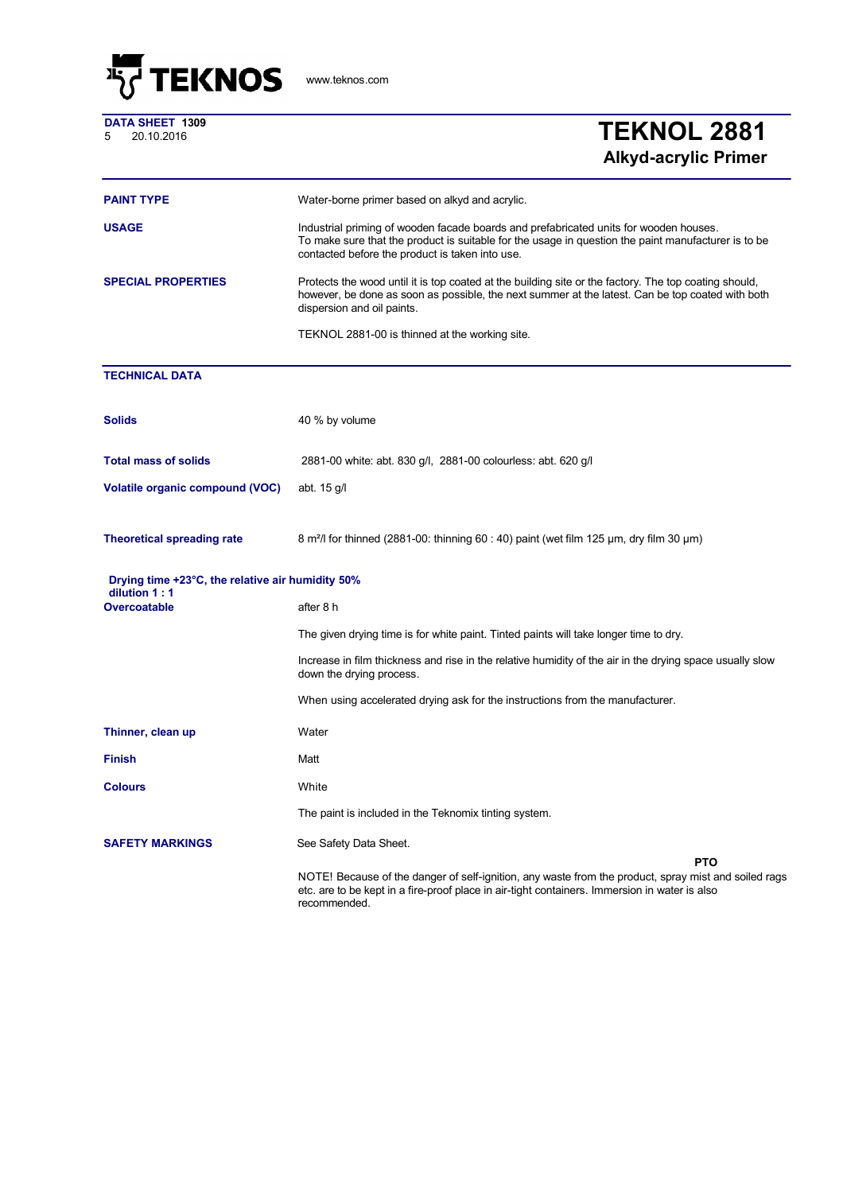

**DATA SHEET 1309**<br>5 20.10.2016

## <sup>5</sup> 20.10.2016 **TEKNOL 2881 Alkyd-acrylic Primer**

|                                                                    | nyw woryno r                                                                                                                                                                                                                                    |
|--------------------------------------------------------------------|-------------------------------------------------------------------------------------------------------------------------------------------------------------------------------------------------------------------------------------------------|
| <b>PAINT TYPE</b>                                                  | Water-borne primer based on alkyd and acrylic.                                                                                                                                                                                                  |
| <b>USAGE</b>                                                       | Industrial priming of wooden facade boards and prefabricated units for wooden houses.<br>To make sure that the product is suitable for the usage in question the paint manufacturer is to be<br>contacted before the product is taken into use. |
| <b>SPECIAL PROPERTIES</b>                                          | Protects the wood until it is top coated at the building site or the factory. The top coating should,<br>however, be done as soon as possible, the next summer at the latest. Can be top coated with both<br>dispersion and oil paints.         |
|                                                                    | TEKNOL 2881-00 is thinned at the working site.                                                                                                                                                                                                  |
| <b>TECHNICAL DATA</b>                                              |                                                                                                                                                                                                                                                 |
| <b>Solids</b>                                                      | 40 % by volume                                                                                                                                                                                                                                  |
| <b>Total mass of solids</b>                                        | 2881-00 white: abt. 830 g/l, 2881-00 colourless: abt. 620 g/l                                                                                                                                                                                   |
| <b>Volatile organic compound (VOC)</b>                             | abt. 15 g/l                                                                                                                                                                                                                                     |
| <b>Theoretical spreading rate</b>                                  | 8 m <sup>2</sup> /l for thinned (2881-00: thinning 60 : 40) paint (wet film 125 $\mu$ m, dry film 30 $\mu$ m)                                                                                                                                   |
| Drying time +23°C, the relative air humidity 50%<br>dilution 1 : 1 |                                                                                                                                                                                                                                                 |
| Overcoatable                                                       | after 8 h                                                                                                                                                                                                                                       |
|                                                                    | The given drying time is for white paint. Tinted paints will take longer time to dry.                                                                                                                                                           |
|                                                                    | Increase in film thickness and rise in the relative humidity of the air in the drying space usually slow<br>down the drying process.                                                                                                            |
|                                                                    | When using accelerated drying ask for the instructions from the manufacturer.                                                                                                                                                                   |
| Thinner, clean up                                                  | Water                                                                                                                                                                                                                                           |
| <b>Finish</b>                                                      | Matt                                                                                                                                                                                                                                            |
| <b>Colours</b>                                                     | White                                                                                                                                                                                                                                           |
|                                                                    | The paint is included in the Teknomix tinting system.                                                                                                                                                                                           |
| <b>SAFETY MARKINGS</b>                                             | See Safety Data Sheet.                                                                                                                                                                                                                          |
|                                                                    | <b>PTO</b><br>NOTE! Because of the danger of self-ignition, any waste from the product, spray mist and soiled rags<br>etc. are to be kept in a fire-proof place in air-tight containers. Immersion in water is also<br>recommended.             |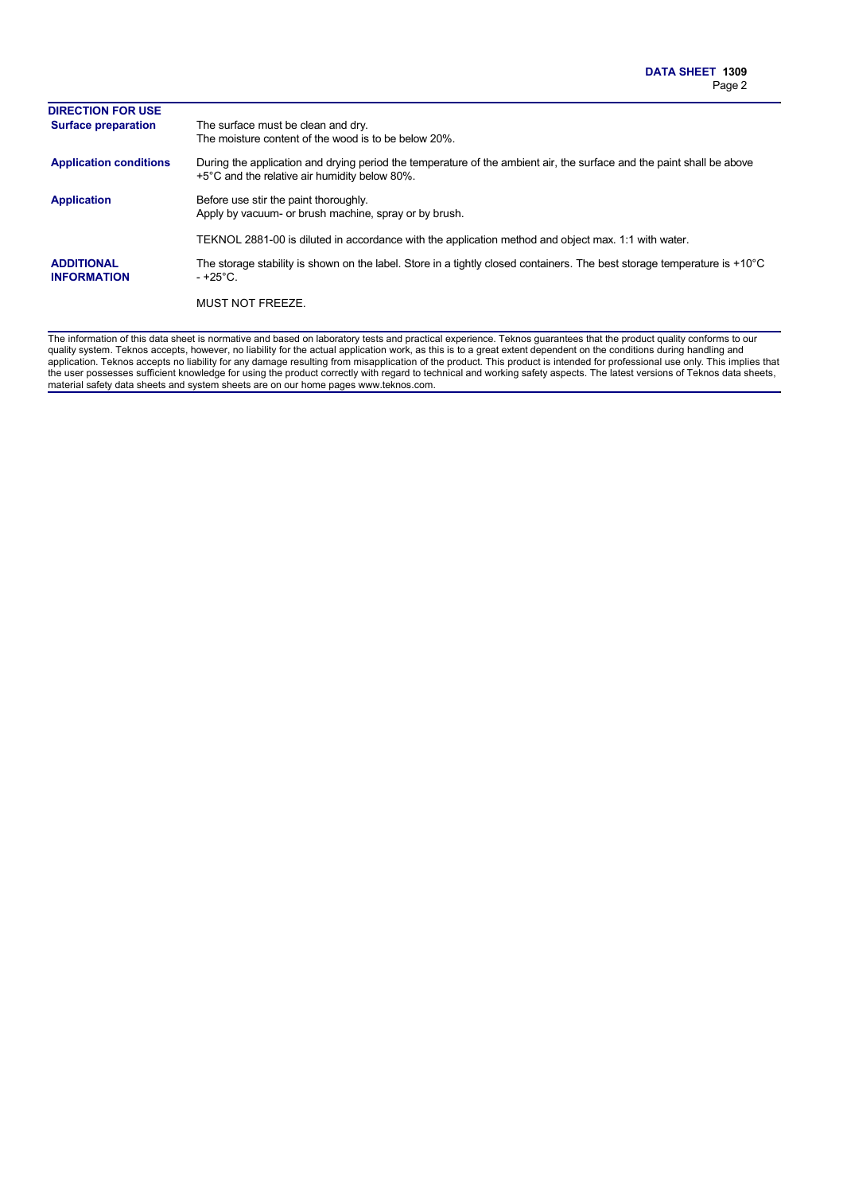| <b>DIRECTION FOR USE</b>                |                                                                                                                                                                        |
|-----------------------------------------|------------------------------------------------------------------------------------------------------------------------------------------------------------------------|
| <b>Surface preparation</b>              | The surface must be clean and dry.<br>The moisture content of the wood is to be below 20%.                                                                             |
| <b>Application conditions</b>           | During the application and drying period the temperature of the ambient air, the surface and the paint shall be above<br>+5°C and the relative air humidity below 80%. |
| <b>Application</b>                      | Before use stir the paint thoroughly.<br>Apply by vacuum- or brush machine, spray or by brush.                                                                         |
|                                         | TEKNOL 2881-00 is diluted in accordance with the application method and object max. 1:1 with water.                                                                    |
| <b>ADDITIONAL</b><br><b>INFORMATION</b> | The storage stability is shown on the label. Store in a tightly closed containers. The best storage temperature is +10°C<br>- +25°C.                                   |
|                                         | <b>MUST NOT FREEZE.</b>                                                                                                                                                |
|                                         |                                                                                                                                                                        |

The information of this data sheet is normative and based on laboratory tests and practical experience. Teknos guarantees that the product quality conforms to our quality system. Teknos accepts, however, no liability for the actual application work, as this is to a great extent dependent on the conditions during handling and application. Teknos accepts no liability for any damage resulting from misapplication of the product. This product is intended for professional use only. This implies that the user possesses sufficient knowledge for using the product correctly with regard to technical and working safety aspects. The latest versions of Teknos data sheets, material safety data sheets and system sheets are on our home pages www.teknos.com.